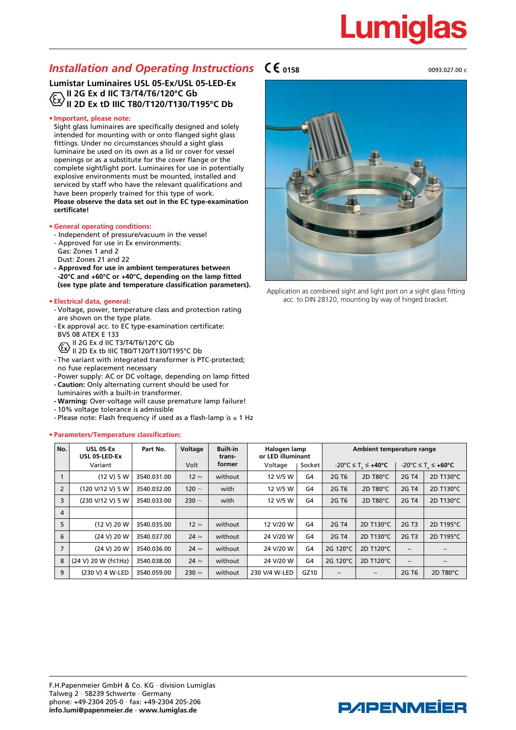# **Lumiglas**

### *Installation and Operating Instructions*

#### **Lumistar Luminaires USL 05-Ex/USL 05-LED-Ex II 2G Ex d IIC T3/T4/T6/120°C Gb II 2D Ex tD IIIC T80/T120/T130/T195°C Db**

#### **• Important, please note:**

Sight glass luminaires are specifically designed and solely intended for mounting with or onto flanged sight glass fittings. Under no circumstances should a sight glass luminaire be used on its own as a lid or cover for vessel openings or as a substitute for the cover flange or the complete sight/light port. Luminaires for use in potentially explosive environments must be mounted, installed and serviced by staff who have the relevant qualifications and have been properly trained for this type of work. **Please observe the data set out in the EC type-examination certificate!**

#### **• General operating conditions:**

- Independent of pressure/vacuum in the vessel
- Approved for use in Ex environments:
- Gas: Zones 1 and 2
- Dust: Zones 21 and 22
- **Approved for use in ambient temperatures between -20°C and +60°C or +40°C, depending on the lamp fitted (see type plate and temperature classification parameters).**

#### **• Electrical data, general:**

- Voltage, power, temperature class and protection rating are shown on the type plate.
- Ex approval acc. to EC type-examination certificate: BVS 08 ATEX E 133
- II 2G Ex d IIC T3/T4/T6/120°C Gb
- $\overline{\text{E}}$ II 2D Ex tb IIIC T80/T120/T130/T195°C Db
- The variant with integrated transformer is PTC-protected; no fuse replacement necessary
- Power supply: AC or DC voltage, depending on lamp fitted **- Caution:** Only alternating current should be used for
- luminaires with a built-in transformer.
- **- Warning:** Over-voltage will cause premature lamp failure!
- 10% voltage tolerance is admissible
- Please note: Flash frequency if used as a flash-lamp is ≤ 1 Hz

#### **• Parameters/Temperature classification:**





Application as combined sight and light port on a sight glass fitting acc. to DIN 28120, mounting by way of hinged bracket.

| No.            | <b>USL 05-Ex</b><br>USL 05-LED-Ex | Part No.    | Voltage      | <b>Built-in</b><br>trans- | Halogen lamp<br>or LED illuminant |                | Ambient temperature range |           |                          |           |
|----------------|-----------------------------------|-------------|--------------|---------------------------|-----------------------------------|----------------|---------------------------|-----------|--------------------------|-----------|
|                | Variant                           |             | Volt         | former                    | Voltage                           | Socket         | -20°C ≤ T ≤ +40°C         |           | -20°C ≤ T ≤ +60°C        |           |
|                | (12 V) 5 W                        | 3540.031.00 | $12 \simeq$  | without                   | 12 V/5 W                          | G4             | 2G T <sub>6</sub>         | 2D T80°C  | 2G T4                    | 2D T130°C |
| $\overline{2}$ | (120 V/12 V) 5 W                  | 3540.032.00 | 120 $\sim$   | with                      | 12 V/5 W                          | G4             | 2G T <sub>6</sub>         | 2D T80°C  | 2G T4                    | 2D T130°C |
| 3              | (230 V/12 V) 5 W                  | 3540.033.00 | 230 $\sim$   | with                      | 12 V/5 W                          | G4             | 2G T <sub>6</sub>         | 2D T80°C  | 2G T4                    | 2D T130°C |
| $\overline{4}$ |                                   |             |              |                           |                                   |                |                           |           |                          |           |
| 5              | (12 V) 20 W                       | 3540.035.00 | $12 \simeq$  | without                   | 12 V/20 W                         | G4             | 2G T4                     | 2D T130°C | 2G T3                    | 2D T195°C |
| 6              | (24 V) 20 W                       | 3540.037.00 | $24 \simeq$  | without                   | 24 V/20 W                         | G4             | 2G T4                     | 2D T130°C | 2G T3                    | 2D T195°C |
| $\overline{7}$ | (24 V) 20 W                       | 3540.036.00 | $24 \simeq$  | without                   | 24 V/20 W                         | G <sub>4</sub> | 2G 120°C                  | 2D T120°C | $\overline{\phantom{0}}$ |           |
| 8              | (24 V) 20 W (f≤1Hz)               | 3540.038.00 | $24 \simeq$  | without                   | 24 V/20 W                         | G <sub>4</sub> | 2G 120°C                  | 2D T120°C | $\overline{\phantom{0}}$ |           |
| 9              | (230 V) 4 W-LED                   | 3540.059.00 | $230 \simeq$ | without                   | 230 V/4 W-LED                     | GZ10           |                           | -         | 2G T <sub>6</sub>        | 2D T80°C  |